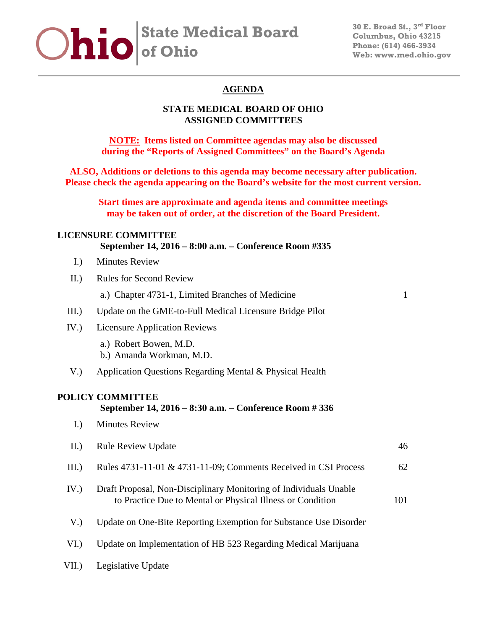# **State Medical Board of Ohio**

## **AGENDA**

## **STATE MEDICAL BOARD OF OHIO ASSIGNED COMMITTEES**

**NOTE: Items listed on Committee agendas may also be discussed during the "Reports of Assigned Committees" on the Board's Agenda**

**ALSO, Additions or deletions to this agenda may become necessary after publication. Please check the agenda appearing on the Board's website for the most current version.**

**Start times are approximate and agenda items and committee meetings may be taken out of order, at the discretion of the Board President.**

#### **LICENSURE COMMITTEE**

#### **September 14, 2016 – 8:00 a.m. – Conference Room #335**

- I.) Minutes Review
- II.) Rules for Second Review

a.) Chapter 4731-1, Limited Branches of Medicine 1

- III.) Update on the GME-to-Full Medical Licensure Bridge Pilot
- IV.) Licensure Application Reviews
	- a.) Robert Bowen, M.D.
	- b.) Amanda Workman, M.D.
- V.) Application Questions Regarding Mental & Physical Health

#### **POLICY COMMITTEE**

#### **September 14, 2016 – 8:30 a.m. – Conference Room # 336**

I.) Minutes Review

| II.  | <b>Rule Review Update</b>                                                                                                       | 46  |
|------|---------------------------------------------------------------------------------------------------------------------------------|-----|
| III. | Rules 4731-11-01 & 4731-11-09; Comments Received in CSI Process                                                                 | 62  |
| IV.  | Draft Proposal, Non-Disciplinary Monitoring of Individuals Unable<br>to Practice Due to Mental or Physical Illness or Condition | 101 |
| V.   | Update on One-Bite Reporting Exemption for Substance Use Disorder                                                               |     |
| VI.  | Update on Implementation of HB 523 Regarding Medical Marijuana                                                                  |     |
|      |                                                                                                                                 |     |

VII.) Legislative Update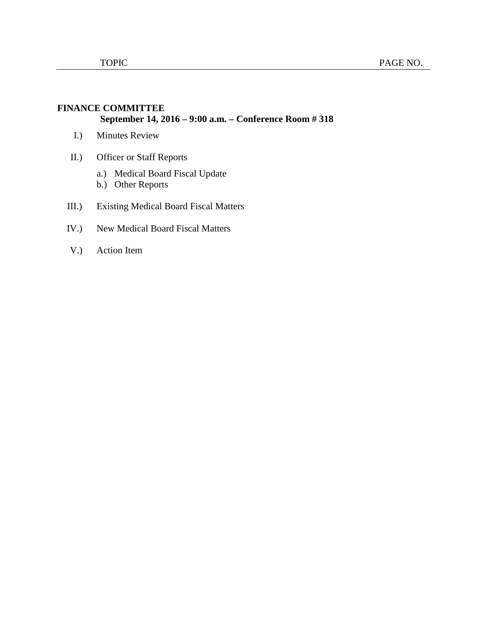## **FINANCE COMMITTEE September 14, 2016 – 9:00 a.m. – Conference Room # 318**

- I.) Minutes Review
- II.) Officer or Staff Reports
	- a.) Medical Board Fiscal Update
	- b.) Other Reports
- III.) Existing Medical Board Fiscal Matters
- IV.) New Medical Board Fiscal Matters
- V.) Action Item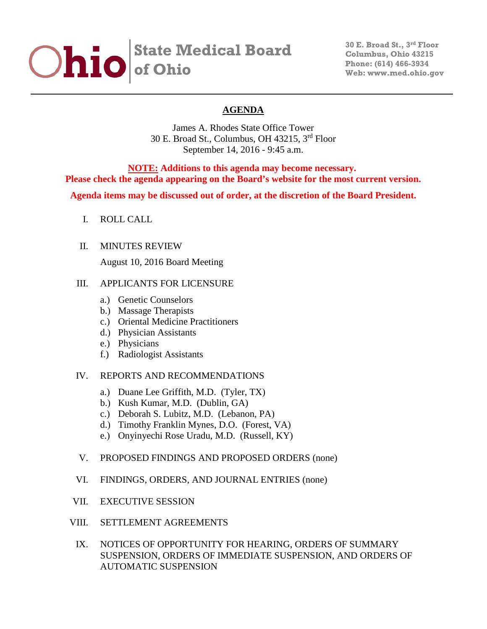# **State Medical Board of Ohio**

**30 E. Broad St., 3rd Floor Columbus, Ohio 43215 Phone: (614) 466-3934 Web: www.med.ohio.gov**

## **AGENDA**

James A. Rhodes State Office Tower 30 E. Broad St., Columbus, OH 43215, 3rd Floor September 14, 2016 - 9:45 a.m.

**NOTE: Additions to this agenda may become necessary. Please check the agenda appearing on the Board's website for the most current version.**

**Agenda items may be discussed out of order, at the discretion of the Board President.**

I. ROLL CALL

#### II. MINUTES REVIEW

August 10, 2016 Board Meeting

#### III. APPLICANTS FOR LICENSURE

- a.) Genetic Counselors
- b.) Massage Therapists
- c.) Oriental Medicine Practitioners
- d.) Physician Assistants
- e.) Physicians
- f.) Radiologist Assistants

## IV. REPORTS AND RECOMMENDATIONS

- a.) Duane Lee Griffith, M.D. (Tyler, TX)
- b.) Kush Kumar, M.D. (Dublin, GA)
- c.) Deborah S. Lubitz, M.D. (Lebanon, PA)
- d.) Timothy Franklin Mynes, D.O. (Forest, VA)
- e.) Onyinyechi Rose Uradu, M.D. (Russell, KY)

#### V. PROPOSED FINDINGS AND PROPOSED ORDERS (none)

- VI. FINDINGS, ORDERS, AND JOURNAL ENTRIES (none)
- VII. EXECUTIVE SESSION
- VIII. SETTLEMENT AGREEMENTS
- IX. NOTICES OF OPPORTUNITY FOR HEARING, ORDERS OF SUMMARY SUSPENSION, ORDERS OF IMMEDIATE SUSPENSION, AND ORDERS OF AUTOMATIC SUSPENSION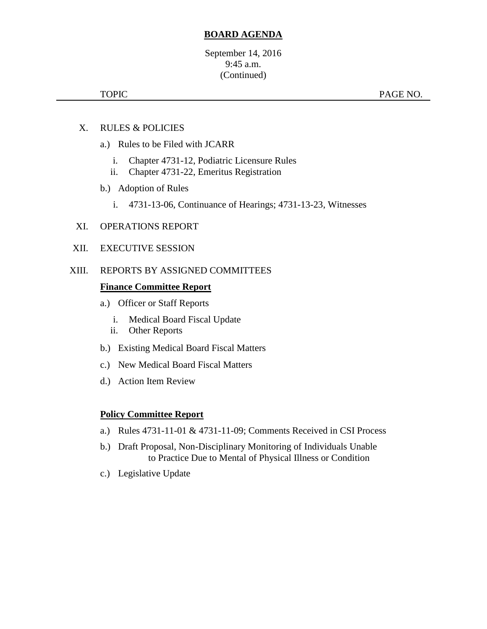## **BOARD AGENDA**

September 14, 2016 9:45 a.m. (Continued)

TOPIC PAGE NO.

- X. RULES & POLICIES
	- a.) Rules to be Filed with JCARR
		- i. Chapter 4731-12, Podiatric Licensure Rules
		- ii. Chapter 4731-22, Emeritus Registration
	- b.) Adoption of Rules
		- i. 4731-13-06, Continuance of Hearings; 4731-13-23, Witnesses

#### XI. OPERATIONS REPORT

XII. EXECUTIVE SESSION

#### XIII. REPORTS BY ASSIGNED COMMITTEES

#### **Finance Committee Report**

- a.) Officer or Staff Reports
	- i. Medical Board Fiscal Update
	- ii. Other Reports
- b.) Existing Medical Board Fiscal Matters
- c.) New Medical Board Fiscal Matters
- d.) Action Item Review

#### **Policy Committee Report**

- a.) Rules 4731-11-01 & 4731-11-09; Comments Received in CSI Process
- b.) Draft Proposal, Non-Disciplinary Monitoring of Individuals Unable to Practice Due to Mental of Physical Illness or Condition
- c.) Legislative Update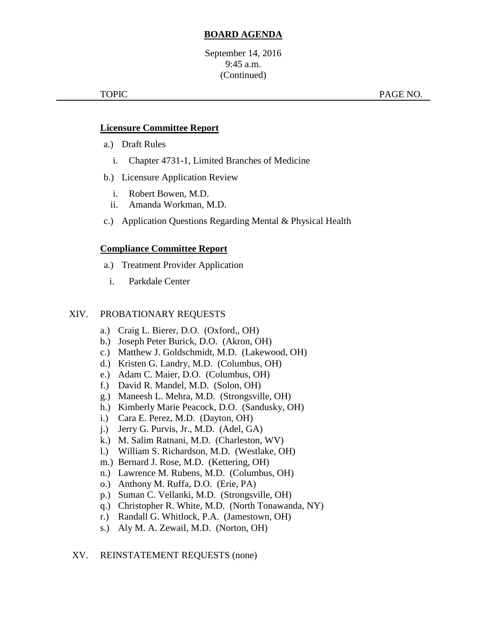## **BOARD AGENDA**

September 14, 2016 9:45 a.m. (Continued)

TOPIC TOPIC **PAGE NO.** 

#### **Licensure Committee Report**

- a.) Draft Rules
	- i. Chapter 4731-1, Limited Branches of Medicine
- b.) Licensure Application Review
	- i. Robert Bowen, M.D.
	- ii. Amanda Workman, M.D.
- c.) Application Questions Regarding Mental & Physical Health

## **Compliance Committee Report**

- a.) Treatment Provider Application
	- i. Parkdale Center

#### XIV. PROBATIONARY REQUESTS

- a.) Craig L. Bierer, D.O. (Oxford,, OH)
- b.) Joseph Peter Burick, D.O. (Akron, OH)
- c.) Matthew J. Goldschmidt, M.D. (Lakewood, OH)
- d.) Kristen G. Landry, M.D. (Columbus, OH)
- e.) Adam C. Maier, D.O. (Columbus, OH)
- f.) David R. Mandel, M.D. (Solon, OH)
- g.) Maneesh L. Mehra, M.D. (Strongsville, OH)
- h.) Kimberly Marie Peacock, D.O. (Sandusky, OH)
- i.) Cara E. Perez, M.D. (Dayton, OH)
- j.) Jerry G. Purvis, Jr., M.D. (Adel, GA)
- k.) M. Salim Ratnani, M.D. (Charleston, WV)
- l.) William S. Richardson, M.D. (Westlake, OH)
- m.) Bernard J. Rose, M.D. (Kettering, OH)
- n.) Lawrence M. Rubens, M.D. (Columbus, OH)
- o.) Anthony M. Ruffa, D.O. (Erie, PA)
- p.) Suman C. Vellanki, M.D. (Strongsville, OH)
- q.) Christopher R. White, M.D. (North Tonawanda, NY)
- r.) Randall G. Whitlock, P.A. (Jamestown, OH)
- s.) Aly M. A. Zewail, M.D. (Norton, OH)

#### XV. REINSTATEMENT REQUESTS (none)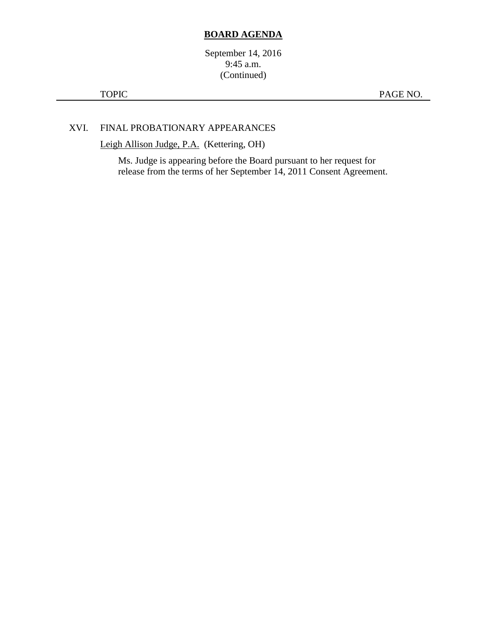#### **BOARD AGENDA**

September 14, 2016 9:45 a.m. (Continued)

TOPIC PAGE NO.

## XVI. FINAL PROBATIONARY APPEARANCES

Leigh Allison Judge, P.A. (Kettering, OH)

Ms. Judge is appearing before the Board pursuant to her request for release from the terms of her September 14, 2011 Consent Agreement.